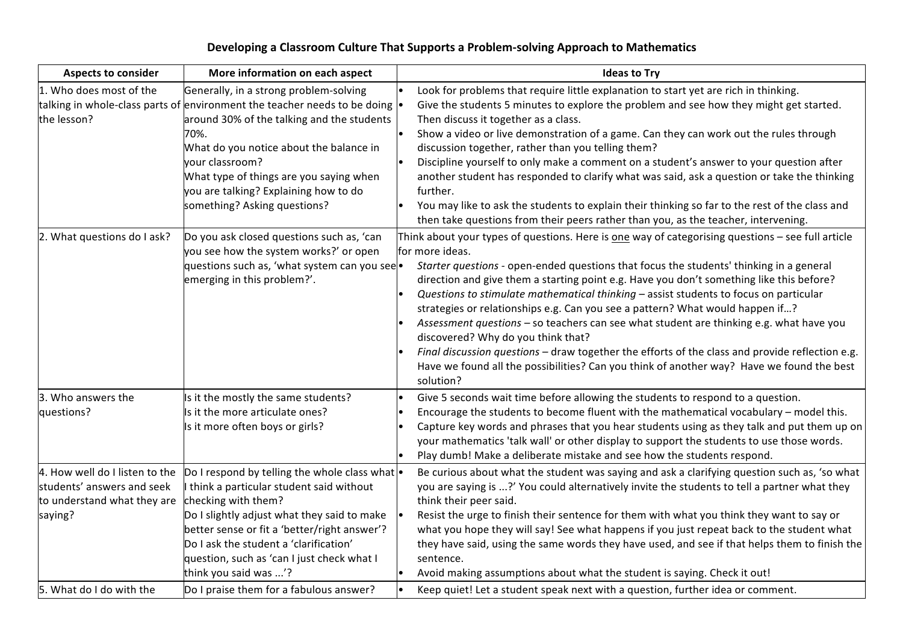## Developing a Classroom Culture That Supports a Problem-solving Approach to Mathematics

| <b>Aspects to consider</b>                                                                             | More information on each aspect                                                                                                                                                                                                                                                                                                                                     | <b>Ideas to Try</b>                                                                                                                                                                                                                                                                                                                                                                                                                                                                                                                                                                                                                                                                                                                                                                                                                 |
|--------------------------------------------------------------------------------------------------------|---------------------------------------------------------------------------------------------------------------------------------------------------------------------------------------------------------------------------------------------------------------------------------------------------------------------------------------------------------------------|-------------------------------------------------------------------------------------------------------------------------------------------------------------------------------------------------------------------------------------------------------------------------------------------------------------------------------------------------------------------------------------------------------------------------------------------------------------------------------------------------------------------------------------------------------------------------------------------------------------------------------------------------------------------------------------------------------------------------------------------------------------------------------------------------------------------------------------|
| 1. Who does most of the<br>the lesson?                                                                 | Generally, in a strong problem-solving<br>talking in whole-class parts of environment the teacher needs to be doing $\cdot$<br>around 30% of the talking and the students<br>70%.<br>What do you notice about the balance in<br>your classroom?<br>What type of things are you saying when<br>you are talking? Explaining how to do<br>something? Asking questions? | Look for problems that require little explanation to start yet are rich in thinking.<br>Give the students 5 minutes to explore the problem and see how they might get started.<br>Then discuss it together as a class.<br>Show a video or live demonstration of a game. Can they can work out the rules through<br>discussion together, rather than you telling them?<br>Discipline yourself to only make a comment on a student's answer to your question after<br>another student has responded to clarify what was said, ask a question or take the thinking<br>further.<br>You may like to ask the students to explain their thinking so far to the rest of the class and<br>then take questions from their peers rather than you, as the teacher, intervening.                                                                 |
| 2. What questions do I ask?                                                                            | Do you ask closed questions such as, 'can<br>you see how the system works?' or open<br>questions such as, 'what system can you see<br>emerging in this problem?'.                                                                                                                                                                                                   | Think about your types of questions. Here is one way of categorising questions - see full article<br>for more ideas.<br>Starter questions - open-ended questions that focus the students' thinking in a general<br>direction and give them a starting point e.g. Have you don't something like this before?<br>Questions to stimulate mathematical thinking - assist students to focus on particular<br>strategies or relationships e.g. Can you see a pattern? What would happen if?<br>Assessment questions - so teachers can see what student are thinking e.g. what have you<br>discovered? Why do you think that?<br>Final discussion questions - draw together the efforts of the class and provide reflection e.g.<br>Have we found all the possibilities? Can you think of another way? Have we found the best<br>solution? |
| 3. Who answers the<br>questions?                                                                       | Is it the mostly the same students?<br>Is it the more articulate ones?<br>Is it more often boys or girls?                                                                                                                                                                                                                                                           | Give 5 seconds wait time before allowing the students to respond to a question.<br>Encourage the students to become fluent with the mathematical vocabulary - model this.<br>Capture key words and phrases that you hear students using as they talk and put them up on<br>your mathematics 'talk wall' or other display to support the students to use those words.<br>Play dumb! Make a deliberate mistake and see how the students respond.                                                                                                                                                                                                                                                                                                                                                                                      |
| 4. How well do I listen to the<br>students' answers and seek<br>to understand what they are<br>saying? | Do I respond by telling the whole class what $\cdot$<br>think a particular student said without<br>checking with them?<br>Do I slightly adjust what they said to make<br>better sense or fit a 'better/right answer'?<br>Do I ask the student a 'clarification'<br>question, such as 'can I just check what I<br>think you said was '?                              | Be curious about what the student was saying and ask a clarifying question such as, 'so what<br>you are saying is ?' You could alternatively invite the students to tell a partner what they<br>think their peer said.<br>Resist the urge to finish their sentence for them with what you think they want to say or<br>what you hope they will say! See what happens if you just repeat back to the student what<br>they have said, using the same words they have used, and see if that helps them to finish the<br>sentence.<br>Avoid making assumptions about what the student is saying. Check it out!                                                                                                                                                                                                                          |
| 5. What do I do with the                                                                               | Do I praise them for a fabulous answer?                                                                                                                                                                                                                                                                                                                             | Keep quiet! Let a student speak next with a question, further idea or comment.                                                                                                                                                                                                                                                                                                                                                                                                                                                                                                                                                                                                                                                                                                                                                      |